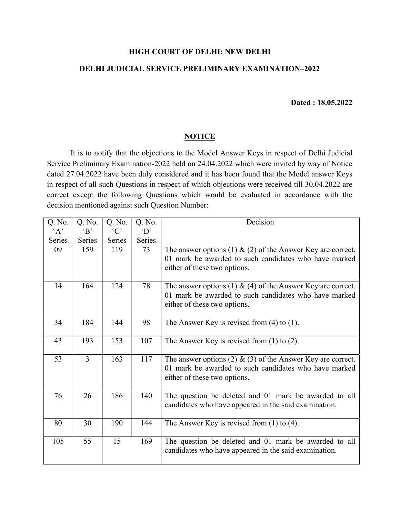## HIGH COURT OF DELHI: NEW DELHI

## DELHI JUDICIAL SERVICE PRELIMINARY EXAMINATION–2022

## Dated : 18.05.2022

## **NOTICE**

 It is to notify that the objections to the Model Answer Keys in respect of Delhi Judicial Service Preliminary Examination-2022 held on 24.04.2022 which were invited by way of Notice dated 27.04.2022 have been duly considered and it has been found that the Model answer Keys in respect of all such Questions in respect of which objections were received till 30.04.2022 are correct except the following Questions which would be evaluated in accordance with the decision mentioned against such Question Number:

| Q. No. | Q. No.                                  | Q. No.     | Q. No.   | Decision                                                                                                                                                |
|--------|-----------------------------------------|------------|----------|---------------------------------------------------------------------------------------------------------------------------------------------------------|
| A      | $\cdot$ B <sup><math>\cdot</math></sup> | $\cdot$ C' | $\Omega$ |                                                                                                                                                         |
| Series | Series                                  | Series     | Series   |                                                                                                                                                         |
| 09     | 159                                     | 119        | 73       | The answer options (1) $\&$ (2) of the Answer Key are correct.<br>01 mark be awarded to such candidates who have marked<br>either of these two options. |
| 14     | 164                                     | 124        | 78       | The answer options (1) $\&$ (4) of the Answer Key are correct.<br>01 mark be awarded to such candidates who have marked<br>either of these two options. |
| 34     | 184                                     | 144        | 98       | The Answer Key is revised from $(4)$ to $(1)$ .                                                                                                         |
| 43     | 193                                     | 153        | 107      | The Answer Key is revised from $(1)$ to $(2)$ .                                                                                                         |
| 53     | $\overline{3}$                          | 163        | 117      | The answer options (2) $\&$ (3) of the Answer Key are correct.<br>01 mark be awarded to such candidates who have marked<br>either of these two options. |
| 76     | 26                                      | 186        | 140      | The question be deleted and 01 mark be awarded to all<br>candidates who have appeared in the said examination.                                          |
| 80     | 30                                      | 190        | 144      | The Answer Key is revised from $(1)$ to $(4)$ .                                                                                                         |
| 105    | 55                                      | 15         | 169      | The question be deleted and 01 mark be awarded to all<br>candidates who have appeared in the said examination.                                          |